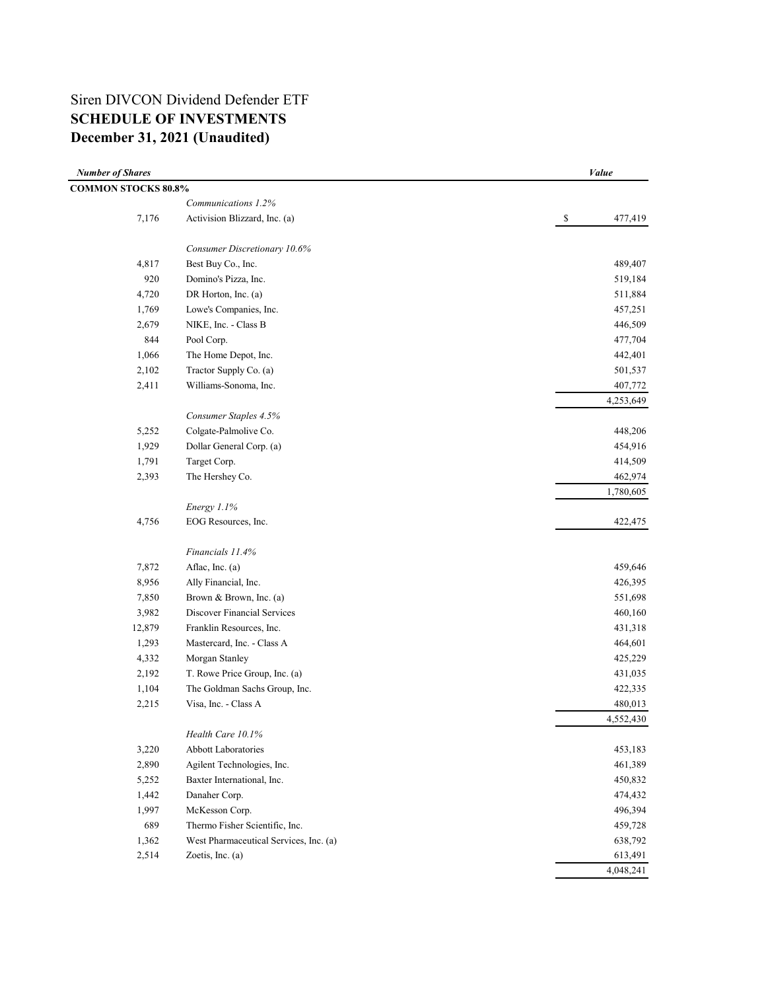# Siren DIVCON Dividend Defender ETF **SCHEDULE OF INVESTMENTS December 31, 2021 (Unaudited)**

| <b>Number of Shares</b>    |                                        | Value           |
|----------------------------|----------------------------------------|-----------------|
| <b>COMMON STOCKS 80.8%</b> |                                        |                 |
|                            | Communications 1.2%                    |                 |
| 7,176                      | Activision Blizzard, Inc. (a)          | $\$$<br>477,419 |
|                            | Consumer Discretionary 10.6%           |                 |
| 4,817                      | Best Buy Co., Inc.                     | 489,407         |
| 920                        | Domino's Pizza, Inc.                   | 519,184         |
| 4,720                      | DR Horton, Inc. (a)                    | 511,884         |
| 1,769                      | Lowe's Companies, Inc.                 | 457,251         |
| 2,679                      | NIKE, Inc. - Class B                   | 446,509         |
| 844                        | Pool Corp.                             | 477,704         |
| 1,066                      | The Home Depot, Inc.                   | 442,401         |
| 2,102                      | Tractor Supply Co. (a)                 | 501,537         |
| 2,411                      | Williams-Sonoma, Inc.                  | 407,772         |
|                            |                                        | 4,253,649       |
|                            | Consumer Staples 4.5%                  |                 |
| 5,252                      | Colgate-Palmolive Co.                  | 448,206         |
| 1,929                      | Dollar General Corp. (a)               | 454,916         |
| 1,791                      | Target Corp.                           | 414,509         |
| 2,393                      | The Hershey Co.                        | 462,974         |
|                            |                                        | 1,780,605       |
|                            | Energy 1.1%                            |                 |
| 4,756                      | EOG Resources, Inc.                    | 422,475         |
|                            | Financials 11.4%                       |                 |
| 7,872                      | Aflac, Inc. (a)                        | 459,646         |
| 8,956                      | Ally Financial, Inc.                   | 426,395         |
| 7,850                      | Brown & Brown, Inc. (a)                | 551,698         |
| 3,982                      | Discover Financial Services            | 460,160         |
| 12,879                     | Franklin Resources, Inc.               | 431,318         |
| 1,293                      | Mastercard, Inc. - Class A             | 464,601         |
| 4,332                      | Morgan Stanley                         | 425,229         |
| 2,192                      | T. Rowe Price Group, Inc. (a)          | 431,035         |
| 1,104                      | The Goldman Sachs Group, Inc.          | 422,335         |
| 2,215                      | Visa, Inc. - Class A                   | 480,013         |
|                            |                                        | 4,552,430       |
|                            | Health Care 10.1%                      |                 |
| 3,220                      | <b>Abbott Laboratories</b>             | 453,183         |
| 2,890                      | Agilent Technologies, Inc.             | 461,389         |
| 5,252                      | Baxter International, Inc.             | 450,832         |
| 1,442                      | Danaher Corp.                          | 474,432         |
| 1,997                      | McKesson Corp.                         | 496,394         |
| 689                        | Thermo Fisher Scientific, Inc.         | 459,728         |
| 1,362                      | West Pharmaceutical Services, Inc. (a) | 638,792         |
| 2,514                      | Zoetis, Inc. (a)                       | 613,491         |
|                            |                                        | 4,048,241       |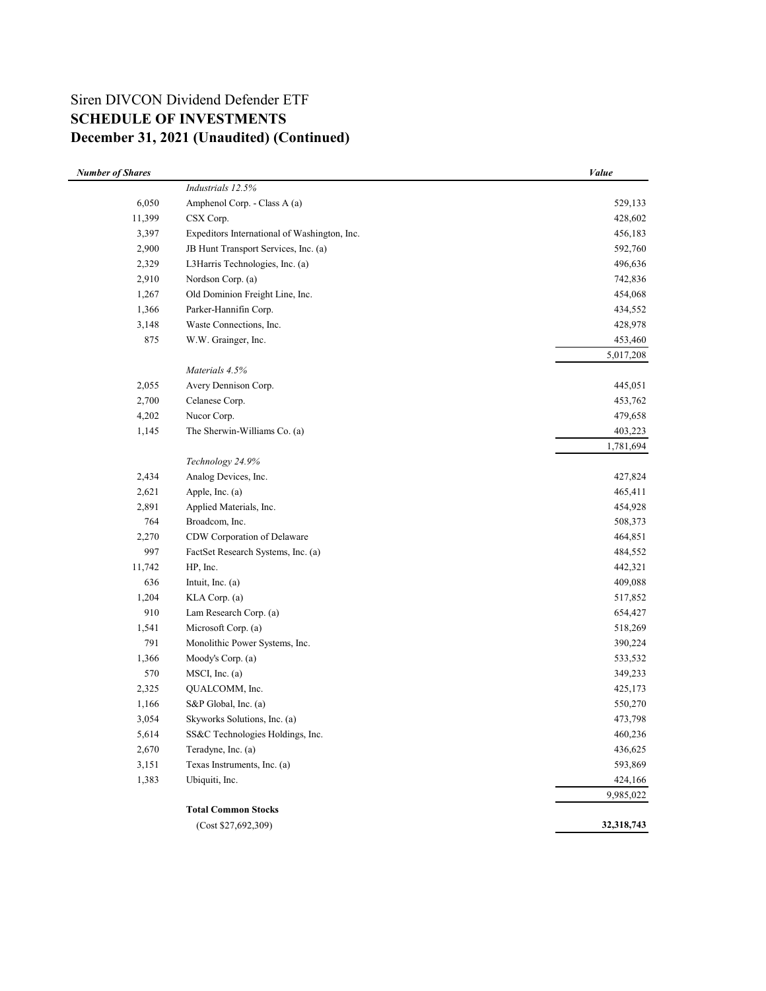# Siren DIVCON Dividend Defender ETF **SCHEDULE OF INVESTMENTS December 31, 2021 (Unaudited) (Continued)**

| <b>Number of Shares</b> |                                              | Value      |
|-------------------------|----------------------------------------------|------------|
|                         | Industrials 12.5%                            |            |
| 6,050                   | Amphenol Corp. - Class A (a)                 | 529,133    |
| 11,399                  | CSX Corp.                                    | 428,602    |
| 3,397                   | Expeditors International of Washington, Inc. | 456,183    |
| 2,900                   | JB Hunt Transport Services, Inc. (a)         | 592,760    |
| 2,329                   | L3Harris Technologies, Inc. (a)              | 496,636    |
| 2,910                   | Nordson Corp. (a)                            | 742,836    |
| 1,267                   | Old Dominion Freight Line, Inc.              | 454,068    |
| 1,366                   | Parker-Hannifin Corp.                        | 434,552    |
| 3,148                   | Waste Connections, Inc.                      | 428,978    |
| 875                     | W.W. Grainger, Inc.                          | 453,460    |
|                         |                                              | 5,017,208  |
|                         | Materials 4.5%                               |            |
| 2,055                   | Avery Dennison Corp.                         | 445,051    |
| 2,700                   | Celanese Corp.                               | 453,762    |
| 4,202                   | Nucor Corp.                                  | 479,658    |
| 1,145                   | The Sherwin-Williams Co. (a)                 | 403,223    |
|                         |                                              | 1,781,694  |
|                         | Technology 24.9%                             |            |
| 2,434                   | Analog Devices, Inc.                         | 427,824    |
| 2,621                   | Apple, Inc. (a)                              | 465,411    |
| 2,891                   | Applied Materials, Inc.                      | 454,928    |
| 764                     | Broadcom, Inc.                               | 508,373    |
| 2,270                   | CDW Corporation of Delaware                  | 464,851    |
| 997                     | FactSet Research Systems, Inc. (a)           | 484,552    |
| 11,742                  | HP, Inc.                                     | 442,321    |
| 636                     | Intuit, Inc. (a)                             | 409,088    |
| 1,204                   | KLA Corp. (a)                                | 517,852    |
| 910                     | Lam Research Corp. (a)                       | 654,427    |
| 1,541                   | Microsoft Corp. (a)                          | 518,269    |
| 791                     | Monolithic Power Systems, Inc.               | 390,224    |
| 1,366                   | Moody's Corp. (a)                            | 533,532    |
| 570                     | MSCI, Inc. (a)                               | 349,233    |
| 2,325                   | QUALCOMM, Inc.                               | 425,173    |
| 1,166                   | S&P Global, Inc. (a)                         | 550,270    |
| 3,054                   | Skyworks Solutions, Inc. (a)                 | 473,798    |
| 5,614                   | SS&C Technologies Holdings, Inc.             | 460,236    |
| 2,670                   | Teradyne, Inc. (a)                           | 436,625    |
| 3,151                   | Texas Instruments, Inc. (a)                  | 593,869    |
| 1,383                   | Ubiquiti, Inc.                               | 424,166    |
|                         |                                              | 9,985,022  |
|                         | <b>Total Common Stocks</b>                   |            |
|                         | (Cost \$27,692,309)                          | 32,318,743 |
|                         |                                              |            |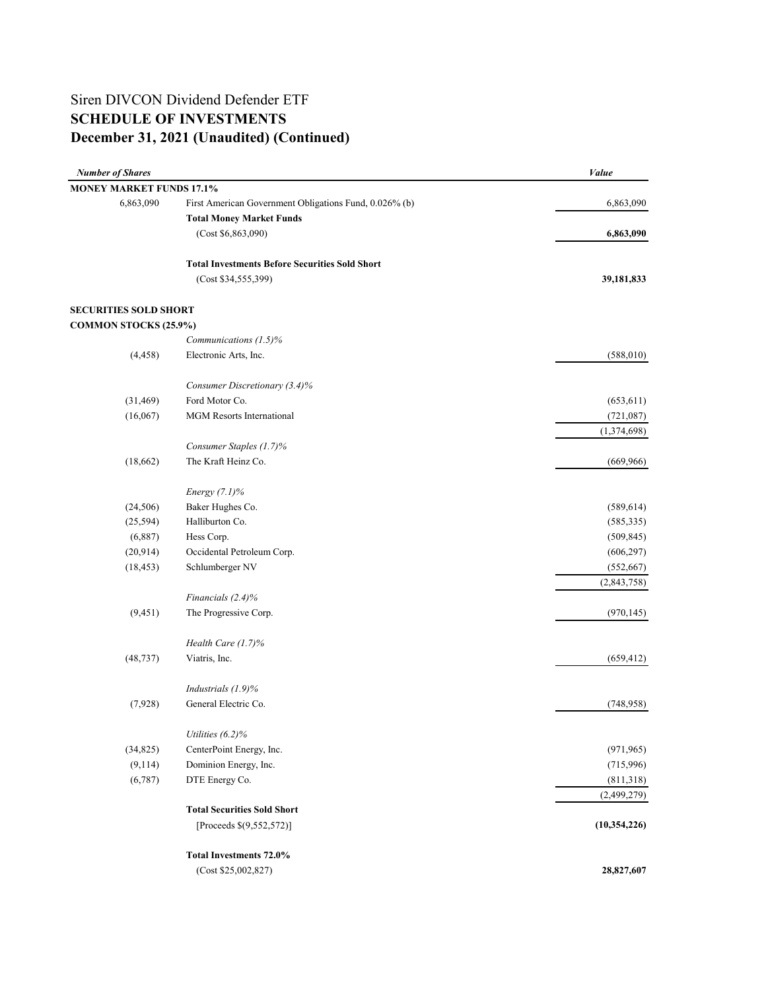# **December 31, 2021 (Unaudited) (Continued)** Siren DIVCON Dividend Defender ETF **SCHEDULE OF INVESTMENTS**

| <b>MONEY MARKET FUNDS 17.1%</b><br>6,863,090<br>First American Government Obligations Fund, 0.026% (b)<br>6,863,090<br><b>Total Money Market Funds</b><br>(Cost \$6,863,090)<br>6,863,090<br><b>Total Investments Before Securities Sold Short</b><br>(Cost \$34, 555, 399)<br>39,181,833<br><b>SECURITIES SOLD SHORT</b><br><b>COMMON STOCKS (25.9%)</b><br>Communications (1.5)%<br>Electronic Arts, Inc.<br>(588, 010)<br>(4, 458)<br>Consumer Discretionary (3.4)%<br>Ford Motor Co.<br>(31, 469)<br>(653, 611)<br>(16,067)<br><b>MGM</b> Resorts International<br>(721,087)<br>(1,374,698)<br>Consumer Staples (1.7)%<br>The Kraft Heinz Co.<br>(18,662)<br>(669, 966)<br>Energy $(7.1)\%$<br>Baker Hughes Co.<br>(24, 506)<br>(589, 614)<br>Halliburton Co.<br>(25, 594)<br>(6,887)<br>Hess Corp.<br>(509, 845)<br>Occidental Petroleum Corp.<br>(20, 914)<br>(606, 297)<br>(552, 667)<br>(18, 453)<br>Schlumberger NV<br>Financials (2.4)%<br>(9, 451)<br>The Progressive Corp.<br>(970, 145)<br>Health Care (1.7)%<br>(48, 737)<br>Viatris, Inc.<br>Industrials (1.9)%<br>General Electric Co.<br>(7,928)<br>(748, 958)<br>Utilities $(6.2)\%$<br>(34, 825)<br>CenterPoint Energy, Inc.<br>(971, 965)<br>(9,114)<br>Dominion Energy, Inc.<br>(715,996)<br>(6,787)<br>DTE Energy Co.<br>(811,318)<br><b>Total Securities Sold Short</b><br>[Proceeds $$(9,552,572)]$ ]<br>Total Investments 72.0%<br>28,827,607<br>(Cost \$25,002,827) | <b>Number of Shares</b> | Value          |
|-----------------------------------------------------------------------------------------------------------------------------------------------------------------------------------------------------------------------------------------------------------------------------------------------------------------------------------------------------------------------------------------------------------------------------------------------------------------------------------------------------------------------------------------------------------------------------------------------------------------------------------------------------------------------------------------------------------------------------------------------------------------------------------------------------------------------------------------------------------------------------------------------------------------------------------------------------------------------------------------------------------------------------------------------------------------------------------------------------------------------------------------------------------------------------------------------------------------------------------------------------------------------------------------------------------------------------------------------------------------------------------------------------------------------------------------------|-------------------------|----------------|
|                                                                                                                                                                                                                                                                                                                                                                                                                                                                                                                                                                                                                                                                                                                                                                                                                                                                                                                                                                                                                                                                                                                                                                                                                                                                                                                                                                                                                                               |                         |                |
|                                                                                                                                                                                                                                                                                                                                                                                                                                                                                                                                                                                                                                                                                                                                                                                                                                                                                                                                                                                                                                                                                                                                                                                                                                                                                                                                                                                                                                               |                         |                |
|                                                                                                                                                                                                                                                                                                                                                                                                                                                                                                                                                                                                                                                                                                                                                                                                                                                                                                                                                                                                                                                                                                                                                                                                                                                                                                                                                                                                                                               |                         |                |
|                                                                                                                                                                                                                                                                                                                                                                                                                                                                                                                                                                                                                                                                                                                                                                                                                                                                                                                                                                                                                                                                                                                                                                                                                                                                                                                                                                                                                                               |                         |                |
|                                                                                                                                                                                                                                                                                                                                                                                                                                                                                                                                                                                                                                                                                                                                                                                                                                                                                                                                                                                                                                                                                                                                                                                                                                                                                                                                                                                                                                               |                         |                |
|                                                                                                                                                                                                                                                                                                                                                                                                                                                                                                                                                                                                                                                                                                                                                                                                                                                                                                                                                                                                                                                                                                                                                                                                                                                                                                                                                                                                                                               |                         |                |
|                                                                                                                                                                                                                                                                                                                                                                                                                                                                                                                                                                                                                                                                                                                                                                                                                                                                                                                                                                                                                                                                                                                                                                                                                                                                                                                                                                                                                                               |                         |                |
|                                                                                                                                                                                                                                                                                                                                                                                                                                                                                                                                                                                                                                                                                                                                                                                                                                                                                                                                                                                                                                                                                                                                                                                                                                                                                                                                                                                                                                               |                         |                |
|                                                                                                                                                                                                                                                                                                                                                                                                                                                                                                                                                                                                                                                                                                                                                                                                                                                                                                                                                                                                                                                                                                                                                                                                                                                                                                                                                                                                                                               |                         |                |
|                                                                                                                                                                                                                                                                                                                                                                                                                                                                                                                                                                                                                                                                                                                                                                                                                                                                                                                                                                                                                                                                                                                                                                                                                                                                                                                                                                                                                                               |                         |                |
|                                                                                                                                                                                                                                                                                                                                                                                                                                                                                                                                                                                                                                                                                                                                                                                                                                                                                                                                                                                                                                                                                                                                                                                                                                                                                                                                                                                                                                               |                         |                |
|                                                                                                                                                                                                                                                                                                                                                                                                                                                                                                                                                                                                                                                                                                                                                                                                                                                                                                                                                                                                                                                                                                                                                                                                                                                                                                                                                                                                                                               |                         |                |
|                                                                                                                                                                                                                                                                                                                                                                                                                                                                                                                                                                                                                                                                                                                                                                                                                                                                                                                                                                                                                                                                                                                                                                                                                                                                                                                                                                                                                                               |                         |                |
|                                                                                                                                                                                                                                                                                                                                                                                                                                                                                                                                                                                                                                                                                                                                                                                                                                                                                                                                                                                                                                                                                                                                                                                                                                                                                                                                                                                                                                               |                         |                |
|                                                                                                                                                                                                                                                                                                                                                                                                                                                                                                                                                                                                                                                                                                                                                                                                                                                                                                                                                                                                                                                                                                                                                                                                                                                                                                                                                                                                                                               |                         |                |
|                                                                                                                                                                                                                                                                                                                                                                                                                                                                                                                                                                                                                                                                                                                                                                                                                                                                                                                                                                                                                                                                                                                                                                                                                                                                                                                                                                                                                                               |                         |                |
|                                                                                                                                                                                                                                                                                                                                                                                                                                                                                                                                                                                                                                                                                                                                                                                                                                                                                                                                                                                                                                                                                                                                                                                                                                                                                                                                                                                                                                               |                         |                |
|                                                                                                                                                                                                                                                                                                                                                                                                                                                                                                                                                                                                                                                                                                                                                                                                                                                                                                                                                                                                                                                                                                                                                                                                                                                                                                                                                                                                                                               |                         |                |
|                                                                                                                                                                                                                                                                                                                                                                                                                                                                                                                                                                                                                                                                                                                                                                                                                                                                                                                                                                                                                                                                                                                                                                                                                                                                                                                                                                                                                                               |                         |                |
|                                                                                                                                                                                                                                                                                                                                                                                                                                                                                                                                                                                                                                                                                                                                                                                                                                                                                                                                                                                                                                                                                                                                                                                                                                                                                                                                                                                                                                               |                         | (585, 335)     |
|                                                                                                                                                                                                                                                                                                                                                                                                                                                                                                                                                                                                                                                                                                                                                                                                                                                                                                                                                                                                                                                                                                                                                                                                                                                                                                                                                                                                                                               |                         |                |
|                                                                                                                                                                                                                                                                                                                                                                                                                                                                                                                                                                                                                                                                                                                                                                                                                                                                                                                                                                                                                                                                                                                                                                                                                                                                                                                                                                                                                                               |                         |                |
|                                                                                                                                                                                                                                                                                                                                                                                                                                                                                                                                                                                                                                                                                                                                                                                                                                                                                                                                                                                                                                                                                                                                                                                                                                                                                                                                                                                                                                               |                         |                |
|                                                                                                                                                                                                                                                                                                                                                                                                                                                                                                                                                                                                                                                                                                                                                                                                                                                                                                                                                                                                                                                                                                                                                                                                                                                                                                                                                                                                                                               |                         | (2,843,758)    |
|                                                                                                                                                                                                                                                                                                                                                                                                                                                                                                                                                                                                                                                                                                                                                                                                                                                                                                                                                                                                                                                                                                                                                                                                                                                                                                                                                                                                                                               |                         |                |
|                                                                                                                                                                                                                                                                                                                                                                                                                                                                                                                                                                                                                                                                                                                                                                                                                                                                                                                                                                                                                                                                                                                                                                                                                                                                                                                                                                                                                                               |                         |                |
|                                                                                                                                                                                                                                                                                                                                                                                                                                                                                                                                                                                                                                                                                                                                                                                                                                                                                                                                                                                                                                                                                                                                                                                                                                                                                                                                                                                                                                               |                         |                |
|                                                                                                                                                                                                                                                                                                                                                                                                                                                                                                                                                                                                                                                                                                                                                                                                                                                                                                                                                                                                                                                                                                                                                                                                                                                                                                                                                                                                                                               |                         | (659, 412)     |
|                                                                                                                                                                                                                                                                                                                                                                                                                                                                                                                                                                                                                                                                                                                                                                                                                                                                                                                                                                                                                                                                                                                                                                                                                                                                                                                                                                                                                                               |                         |                |
|                                                                                                                                                                                                                                                                                                                                                                                                                                                                                                                                                                                                                                                                                                                                                                                                                                                                                                                                                                                                                                                                                                                                                                                                                                                                                                                                                                                                                                               |                         |                |
|                                                                                                                                                                                                                                                                                                                                                                                                                                                                                                                                                                                                                                                                                                                                                                                                                                                                                                                                                                                                                                                                                                                                                                                                                                                                                                                                                                                                                                               |                         |                |
|                                                                                                                                                                                                                                                                                                                                                                                                                                                                                                                                                                                                                                                                                                                                                                                                                                                                                                                                                                                                                                                                                                                                                                                                                                                                                                                                                                                                                                               |                         |                |
|                                                                                                                                                                                                                                                                                                                                                                                                                                                                                                                                                                                                                                                                                                                                                                                                                                                                                                                                                                                                                                                                                                                                                                                                                                                                                                                                                                                                                                               |                         |                |
|                                                                                                                                                                                                                                                                                                                                                                                                                                                                                                                                                                                                                                                                                                                                                                                                                                                                                                                                                                                                                                                                                                                                                                                                                                                                                                                                                                                                                                               |                         |                |
|                                                                                                                                                                                                                                                                                                                                                                                                                                                                                                                                                                                                                                                                                                                                                                                                                                                                                                                                                                                                                                                                                                                                                                                                                                                                                                                                                                                                                                               |                         | (2,499,279)    |
|                                                                                                                                                                                                                                                                                                                                                                                                                                                                                                                                                                                                                                                                                                                                                                                                                                                                                                                                                                                                                                                                                                                                                                                                                                                                                                                                                                                                                                               |                         |                |
|                                                                                                                                                                                                                                                                                                                                                                                                                                                                                                                                                                                                                                                                                                                                                                                                                                                                                                                                                                                                                                                                                                                                                                                                                                                                                                                                                                                                                                               |                         | (10, 354, 226) |
|                                                                                                                                                                                                                                                                                                                                                                                                                                                                                                                                                                                                                                                                                                                                                                                                                                                                                                                                                                                                                                                                                                                                                                                                                                                                                                                                                                                                                                               |                         |                |
|                                                                                                                                                                                                                                                                                                                                                                                                                                                                                                                                                                                                                                                                                                                                                                                                                                                                                                                                                                                                                                                                                                                                                                                                                                                                                                                                                                                                                                               |                         |                |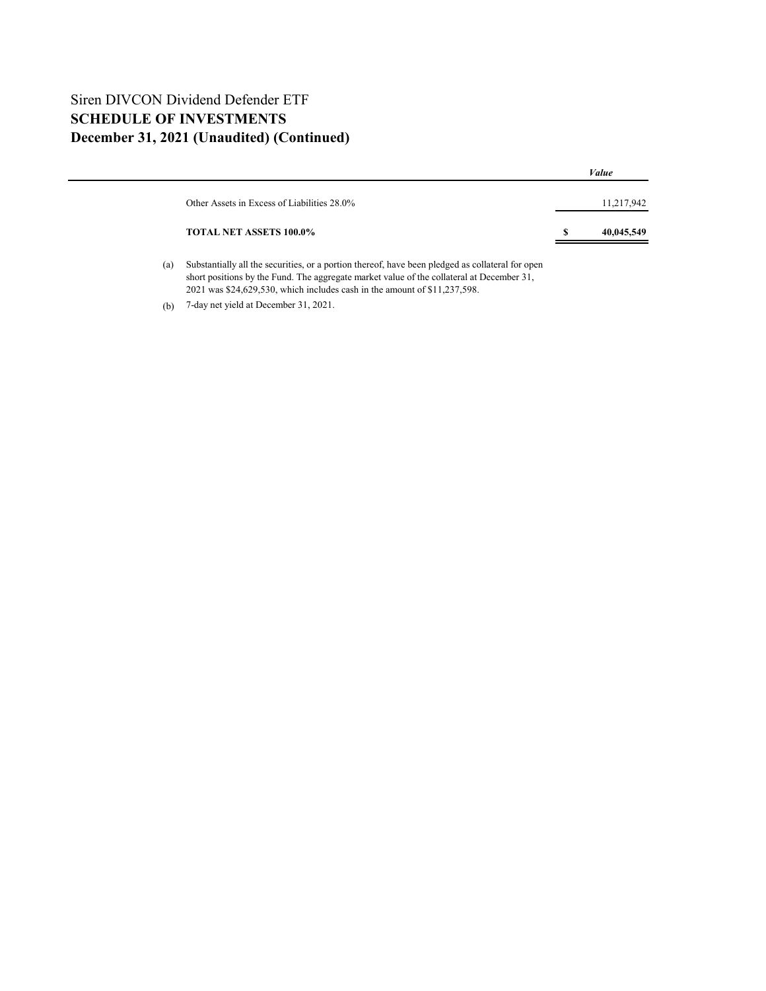## Siren DIVCON Dividend Defender ETF **SCHEDULE OF INVESTMENTS December 31, 2021 (Unaudited) (Continued)**

|                                             | Value           |
|---------------------------------------------|-----------------|
| Other Assets in Excess of Liabilities 28.0% | 11,217,942      |
| <b>TOTAL NET ASSETS 100.0%</b>              | S<br>40,045,549 |
|                                             |                 |

(a) Substantially all the securities, or a portion thereof, have been pledged as collateral for open short positions by the Fund. The aggregate market value of the collateral at December 31, 2021 was \$24,629,530, which includes cash in the amount of \$11,237,598.

(b) 7-day net yield at December 31, 2021.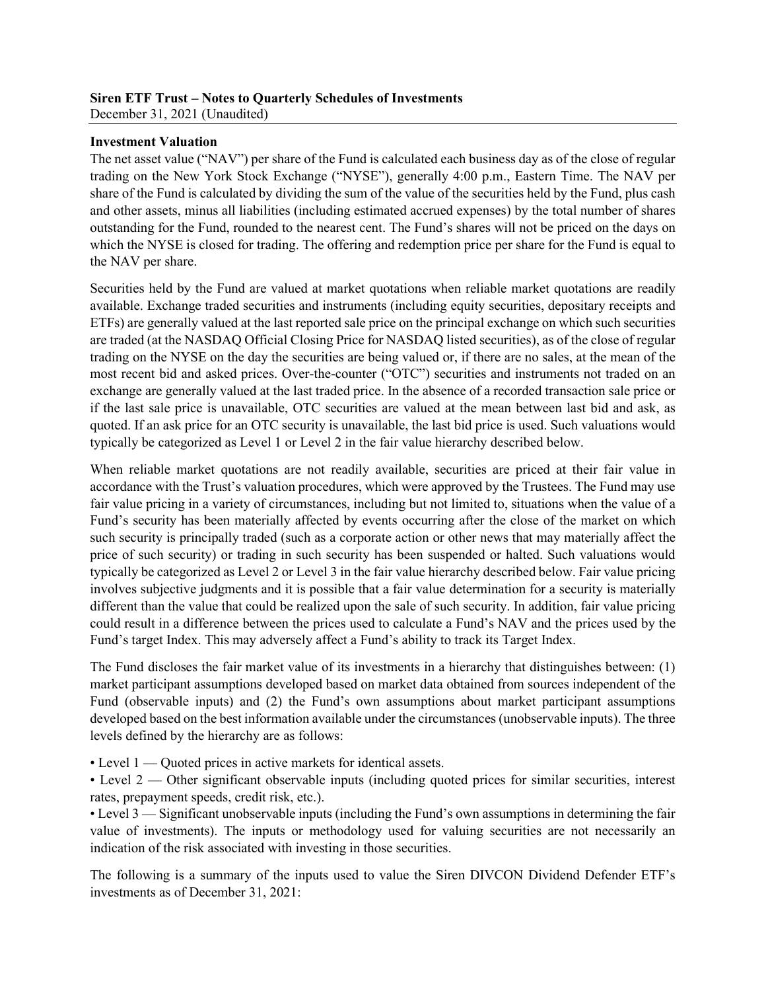### **Siren ETF Trust – Notes to Quarterly Schedules of Investments** December 31, 2021 (Unaudited)

## **Investment Valuation**

The net asset value ("NAV") per share of the Fund is calculated each business day as of the close of regular trading on the New York Stock Exchange ("NYSE"), generally 4:00 p.m., Eastern Time. The NAV per share of the Fund is calculated by dividing the sum of the value of the securities held by the Fund, plus cash and other assets, minus all liabilities (including estimated accrued expenses) by the total number of shares outstanding for the Fund, rounded to the nearest cent. The Fund's shares will not be priced on the days on which the NYSE is closed for trading. The offering and redemption price per share for the Fund is equal to the NAV per share.

Securities held by the Fund are valued at market quotations when reliable market quotations are readily available. Exchange traded securities and instruments (including equity securities, depositary receipts and ETFs) are generally valued at the last reported sale price on the principal exchange on which such securities are traded (at the NASDAQ Official Closing Price for NASDAQ listed securities), as of the close of regular trading on the NYSE on the day the securities are being valued or, if there are no sales, at the mean of the most recent bid and asked prices. Over-the-counter ("OTC") securities and instruments not traded on an exchange are generally valued at the last traded price. In the absence of a recorded transaction sale price or if the last sale price is unavailable, OTC securities are valued at the mean between last bid and ask, as quoted. If an ask price for an OTC security is unavailable, the last bid price is used. Such valuations would typically be categorized as Level 1 or Level 2 in the fair value hierarchy described below.

When reliable market quotations are not readily available, securities are priced at their fair value in accordance with the Trust's valuation procedures, which were approved by the Trustees. The Fund may use fair value pricing in a variety of circumstances, including but not limited to, situations when the value of a Fund's security has been materially affected by events occurring after the close of the market on which such security is principally traded (such as a corporate action or other news that may materially affect the price of such security) or trading in such security has been suspended or halted. Such valuations would typically be categorized as Level 2 or Level 3 in the fair value hierarchy described below. Fair value pricing involves subjective judgments and it is possible that a fair value determination for a security is materially different than the value that could be realized upon the sale of such security. In addition, fair value pricing could result in a difference between the prices used to calculate a Fund's NAV and the prices used by the Fund's target Index. This may adversely affect a Fund's ability to track its Target Index.

The Fund discloses the fair market value of its investments in a hierarchy that distinguishes between: (1) market participant assumptions developed based on market data obtained from sources independent of the Fund (observable inputs) and (2) the Fund's own assumptions about market participant assumptions developed based on the best information available under the circumstances (unobservable inputs). The three levels defined by the hierarchy are as follows:

• Level 1 — Quoted prices in active markets for identical assets.

• Level 2 — Other significant observable inputs (including quoted prices for similar securities, interest rates, prepayment speeds, credit risk, etc.).

• Level 3 — Significant unobservable inputs (including the Fund's own assumptions in determining the fair value of investments). The inputs or methodology used for valuing securities are not necessarily an indication of the risk associated with investing in those securities.

The following is a summary of the inputs used to value the Siren DIVCON Dividend Defender ETF's investments as of December 31, 2021: